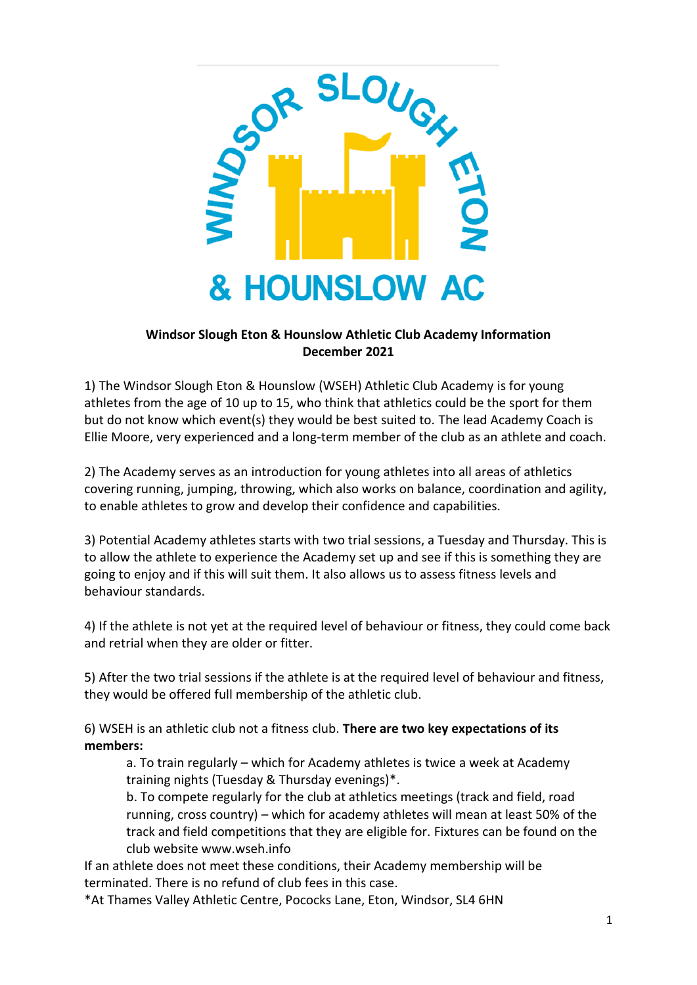

## **Windsor Slough Eton & Hounslow Athletic Club Academy Information December 2021**

1) The Windsor Slough Eton & Hounslow (WSEH) Athletic Club Academy is for young athletes from the age of 10 up to 15, who think that athletics could be the sport for them but do not know which event(s) they would be best suited to. The lead Academy Coach is Ellie Moore, very experienced and a long-term member of the club as an athlete and coach.

2) The Academy serves as an introduction for young athletes into all areas of athletics covering running, jumping, throwing, which also works on balance, coordination and agility, to enable athletes to grow and develop their confidence and capabilities.

3) Potential Academy athletes starts with two trial sessions, a Tuesday and Thursday. This is to allow the athlete to experience the Academy set up and see if this is something they are going to enjoy and if this will suit them. It also allows us to assess fitness levels and behaviour standards.

4) If the athlete is not yet at the required level of behaviour or fitness, they could come back and retrial when they are older or fitter.

5) After the two trial sessions if the athlete is at the required level of behaviour and fitness, they would be offered full membership of the athletic club.

6) WSEH is an athletic club not a fitness club. **There are two key expectations of its members:**

a. To train regularly – which for Academy athletes is twice a week at Academy training nights (Tuesday & Thursday evenings)\*.

b. To compete regularly for the club at athletics meetings (track and field, road running, cross country) – which for academy athletes will mean at least 50% of the track and field competitions that they are eligible for. Fixtures can be found on the club website www.wseh.info

If an athlete does not meet these conditions, their Academy membership will be terminated. There is no refund of club fees in this case.

\*At Thames Valley Athletic Centre, Pococks Lane, Eton, Windsor, SL4 6HN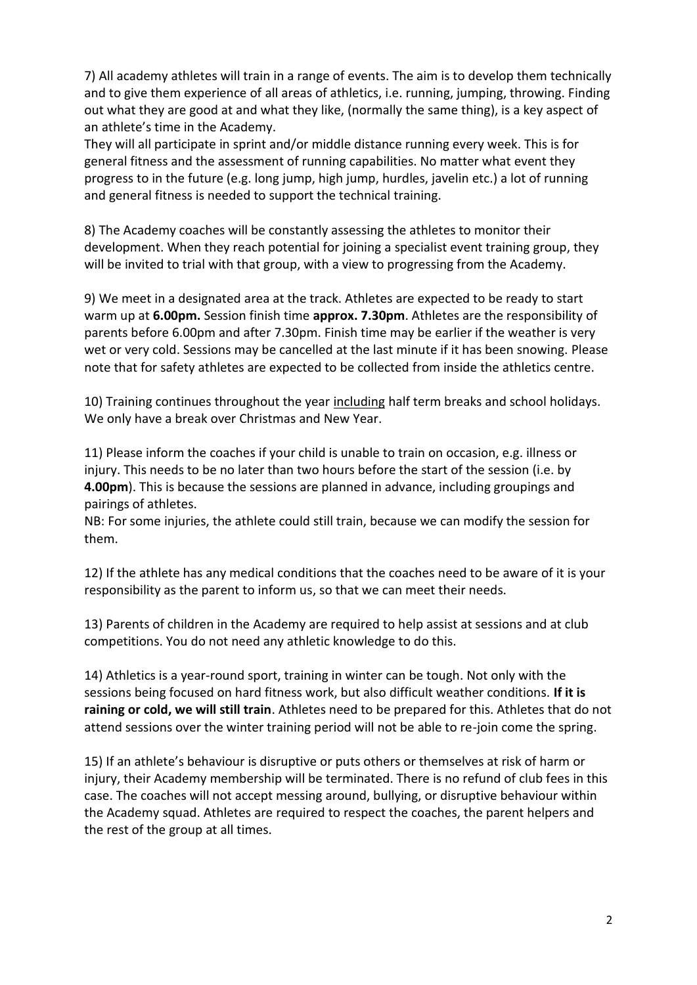7) All academy athletes will train in a range of events. The aim is to develop them technically and to give them experience of all areas of athletics, i.e. running, jumping, throwing. Finding out what they are good at and what they like, (normally the same thing), is a key aspect of an athlete's time in the Academy.

They will all participate in sprint and/or middle distance running every week. This is for general fitness and the assessment of running capabilities. No matter what event they progress to in the future (e.g. long jump, high jump, hurdles, javelin etc.) a lot of running and general fitness is needed to support the technical training.

8) The Academy coaches will be constantly assessing the athletes to monitor their development. When they reach potential for joining a specialist event training group, they will be invited to trial with that group, with a view to progressing from the Academy.

9) We meet in a designated area at the track. Athletes are expected to be ready to start warm up at **6.00pm.** Session finish time **approx. 7.30pm**. Athletes are the responsibility of parents before 6.00pm and after 7.30pm. Finish time may be earlier if the weather is very wet or very cold. Sessions may be cancelled at the last minute if it has been snowing. Please note that for safety athletes are expected to be collected from inside the athletics centre.

10) Training continues throughout the year including half term breaks and school holidays. We only have a break over Christmas and New Year.

11) Please inform the coaches if your child is unable to train on occasion, e.g. illness or injury. This needs to be no later than two hours before the start of the session (i.e. by **4.00pm**). This is because the sessions are planned in advance, including groupings and pairings of athletes.

NB: For some injuries, the athlete could still train, because we can modify the session for them.

12) If the athlete has any medical conditions that the coaches need to be aware of it is your responsibility as the parent to inform us, so that we can meet their needs.

13) Parents of children in the Academy are required to help assist at sessions and at club competitions. You do not need any athletic knowledge to do this.

14) Athletics is a year-round sport, training in winter can be tough. Not only with the sessions being focused on hard fitness work, but also difficult weather conditions. **If it is raining or cold, we will still train**. Athletes need to be prepared for this. Athletes that do not attend sessions over the winter training period will not be able to re-join come the spring.

15) If an athlete's behaviour is disruptive or puts others or themselves at risk of harm or injury, their Academy membership will be terminated. There is no refund of club fees in this case. The coaches will not accept messing around, bullying, or disruptive behaviour within the Academy squad. Athletes are required to respect the coaches, the parent helpers and the rest of the group at all times.